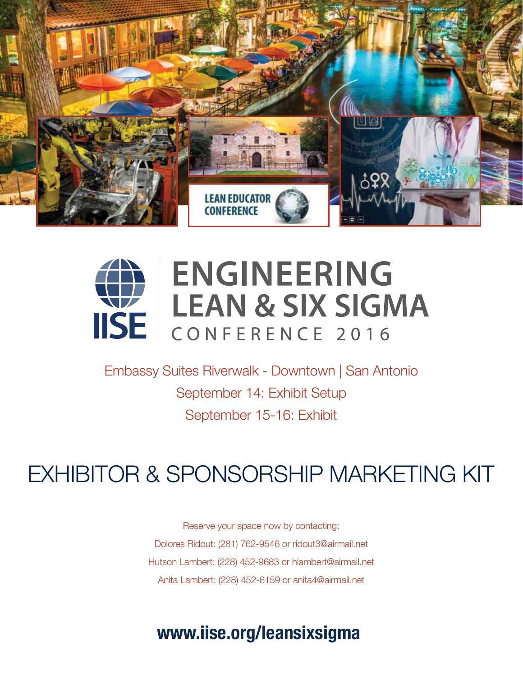

## **Distinguished experts in industrial engineering, ENGINEERING LEAN & SIX SIGMA** ISE CONFERENCE 2016

 $B-16$  Fy September 15-16: Exhibit Embassy Suites Riverwalk - Downtown | San Antonio September 14: Exhibit Setup

President & CEO, Lancer Corp.

go-to resource for continuous iiche  $x$  spc  $\sum_{i=1}^n$  $PQUUDMMNDIXFT$ EXHIBITOR & SPONSORSHIP MARKETING KIT

**Registration is open now.**  Anita Lambert: (228) 452-6159 or anita4@airmail.net Reserve your space now by contacting: Dolores Ridout: (281) 762-9546 or ridout3@airmail.net Hutson Lambert: (228) 452-9683 or hlambert@airmail.net

## $\mathbf{S}$ Embassy Suites Riverwalk-Downtown **www.iise.org/leansixsigma**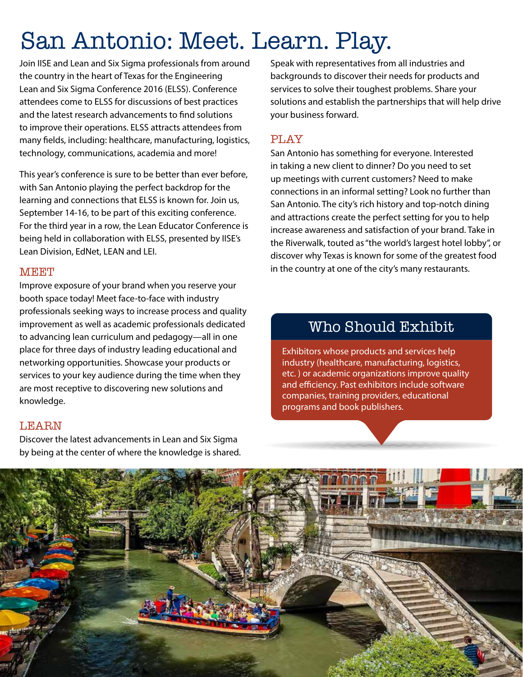## San Antonio: Meet. Learn. Play.

Join IISE and Lean and Six Sigma professionals from around the country in the heart of Texas for the Engineering Lean and Six Sigma Conference 2016 (ELSS). Conference attendees come to ELSS for discussions of best practices and the latest research advancements to find solutions to improve their operations. ELSS attracts attendees from many fields, including: healthcare, manufacturing, logistics, technology, communications, academia and more!

This year's conference is sure to be better than ever before, with San Antonio playing the perfect backdrop for the learning and connections that ELSS is known for. Join us, September 14-16, to be part of this exciting conference. For the third year in a row, the Lean Educator Conference is being held in collaboration with ELSS, presented by IISE's Lean Division, EdNet, LEAN and LEI.

### **MEET**

Improve exposure of your brand when you reserve your booth space today! Meet face-to-face with industry professionals seeking ways to increase process and quality improvement as well as academic professionals dedicated to advancing lean curriculum and pedagogy—all in one place for three days of industry leading educational and networking opportunities. Showcase your products or services to your key audience during the time when they are most receptive to discovering new solutions and knowledge.

### **LEARN**

Discover the latest advancements in Lean and Six Sigma by being at the center of where the knowledge is shared. Speak with representatives from all industries and backgrounds to discover their needs for products and services to solve their toughest problems. Share your solutions and establish the partnerships that will help drive your business forward.

### PLAY

San Antonio has something for everyone. Interested in taking a new client to dinner? Do you need to set up meetings with current customers? Need to make connections in an informal setting? Look no further than San Antonio. The city's rich history and top-notch dining and attractions create the perfect setting for you to help increase awareness and satisfaction of your brand. Take in the Riverwalk, touted as "the world's largest hotel lobby", or discover why Texas is known for some of the greatest food in the country at one of the city's many restaurants.

## Who Should Exhibit

Exhibitors whose products and services help industry (healthcare, manufacturing, logistics, etc. ) or academic organizations improve quality and efficiency. Past exhibitors include software companies, training providers, educational programs and book publishers.

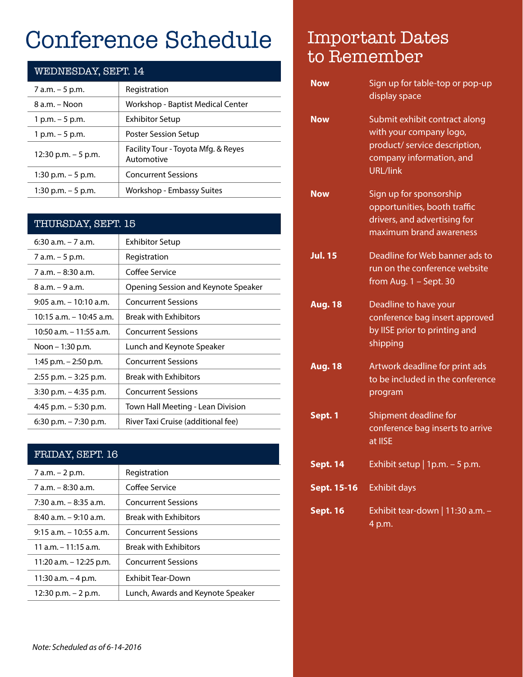## Conference Schedule

| WEDNESDAY, SEPT. 14   |                                                   |  |
|-----------------------|---------------------------------------------------|--|
| 7 a.m. - 5 p.m.       | Registration                                      |  |
| 8 a.m. – Noon         | Workshop - Baptist Medical Center                 |  |
| 1 p.m. – 5 p.m.       | <b>Exhibitor Setup</b>                            |  |
| 1 p.m. $-5$ p.m.      | Poster Session Setup                              |  |
| 12:30 p.m. $-5$ p.m.  | Facility Tour - Toyota Mfg. & Reyes<br>Automotive |  |
| 1:30 p.m. $-5$ p.m.   | <b>Concurrent Sessions</b>                        |  |
| $1:30$ p.m. $-5$ p.m. | Workshop - Embassy Suites                         |  |

### THURSDAY, SEPT. 15

| $6:30$ a.m. $-7$ a.m.      | <b>Exhibitor Setup</b>              |
|----------------------------|-------------------------------------|
| 7 a.m. - 5 p.m.            | Registration                        |
| $7 a.m. - 8:30 a.m.$       | Coffee Service                      |
| $8 a.m. - 9 a.m.$          | Opening Session and Keynote Speaker |
| $9:05$ a.m. $-10:10$ a.m.  | <b>Concurrent Sessions</b>          |
| $10:15$ a.m. $-10:45$ a.m. | <b>Break with Exhibitors</b>        |
| 10:50 a.m. – 11:55 a.m.    | <b>Concurrent Sessions</b>          |
| Noon – 1:30 p.m.           | Lunch and Keynote Speaker           |
| 1:45 p.m. $-$ 2:50 p.m.    | <b>Concurrent Sessions</b>          |
| $2:55$ p.m. $-3:25$ p.m.   | <b>Break with Exhibitors</b>        |
| $3:30$ p.m. $-4:35$ p.m.   | <b>Concurrent Sessions</b>          |
| 4:45 p.m. $-5:30$ p.m.     | Town Hall Meeting - Lean Division   |
| $6:30$ p.m. $-7:30$ p.m.   | River Taxi Cruise (additional fee)  |

### FRIDAY, SEPT. 16

| Registration                      |
|-----------------------------------|
| Coffee Service                    |
| <b>Concurrent Sessions</b>        |
| <b>Break with Exhibitors</b>      |
| <b>Concurrent Sessions</b>        |
| <b>Break with Exhibitors</b>      |
| <b>Concurrent Sessions</b>        |
| Exhibit Tear-Down                 |
| Lunch, Awards and Keynote Speaker |
|                                   |

## Important Dates to Remember

| <b>Now</b>      | Sign up for table-top or pop-up<br>display space                                                                                         |
|-----------------|------------------------------------------------------------------------------------------------------------------------------------------|
| <b>Now</b>      | Submit exhibit contract along<br>with your company logo,<br>product/ service description,<br>company information, and<br><b>URL/link</b> |
| <b>Now</b>      | Sign up for sponsorship<br>opportunities, booth traffic<br>drivers, and advertising for<br>maximum brand awareness                       |
| <b>Jul. 15</b>  | Deadline for Web banner ads to<br>run on the conference website<br>from Aug. $1 -$ Sept. 30                                              |
| <b>Aug. 18</b>  | Deadline to have your<br>conference bag insert approved<br>by IISE prior to printing and<br>shipping                                     |
| <b>Aug. 18</b>  | Artwork deadline for print ads<br>to be included in the conference<br>program                                                            |
| Sept. 1         | Shipment deadline for<br>conference bag inserts to arrive<br>at IISE                                                                     |
| <b>Sept. 14</b> | Exhibit setup   1p.m. $-5$ p.m.                                                                                                          |
| Sept. 15-16     | <b>Exhibit days</b>                                                                                                                      |
| <b>Sept. 16</b> | Exhibit tear-down   11:30 a.m. -<br>4 p.m.                                                                                               |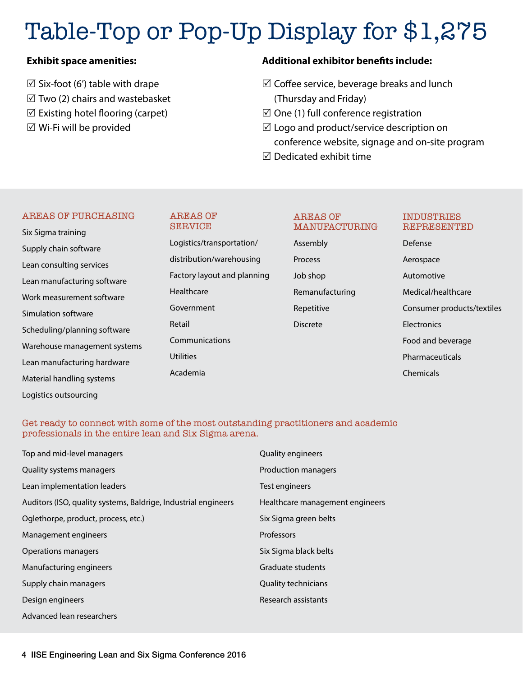# Table-Top or Pop-Up Display for \$1,275

### **Exhibit space amenities:**

 $\boxtimes$  Six-foot (6') table with drape  $\boxtimes$  Two (2) chairs and wastebasket  $\boxtimes$  Existing hotel flooring (carpet)  $\boxtimes$  Wi-Fi will be provided

### **Additional exhibitor benefits include:**

- $\boxtimes$  Coffee service, beverage breaks and lunch (Thursday and Friday)
- $\boxtimes$  One (1) full conference registration
- $\boxtimes$  Logo and product/service description on conference website, signage and on-site program
- $\boxdot$  Dedicated exhibit time

#### AREAS OF PURCHASING

## Six Sigma training Supply chain software Lean consulting services Lean manufacturing software Work measurement software Simulation software Scheduling/planning software Warehouse management systems Lean manufacturing hardware Material handling systems Logistics outsourcing

#### AREAS OF SERVICE

Logistics/transportation/ distribution/warehousing Factory layout and planning Healthcare Government Retail Communications **Utilities** Academia

#### AREAS OF MANUFACTURING

Assembly Process Job shop Remanufacturing Repetitive Discrete

#### INDUSTRIES REPRESENTED

Defense Aerospace Automotive Medical/healthcare Consumer products/textiles **Electronics** Food and beverage Pharmaceuticals Chemicals

#### Get ready to connect with some of the most outstanding practitioners and academic professionals in the entire lean and Six Sigma arena.

| Top and mid-level managers                                     | Quality engineers               |
|----------------------------------------------------------------|---------------------------------|
| Quality systems managers                                       | Production managers             |
| Lean implementation leaders                                    | Test engineers                  |
| Auditors (ISO, quality systems, Baldrige, Industrial engineers | Healthcare management engineers |
| Oglethorpe, product, process, etc.)                            | Six Sigma green belts           |
| Management engineers                                           | Professors                      |
| Operations managers                                            | Six Sigma black belts           |
| Manufacturing engineers                                        | Graduate students               |
| Supply chain managers                                          | <b>Quality technicians</b>      |
| Design engineers                                               | Research assistants             |
| Advanced lean researchers                                      |                                 |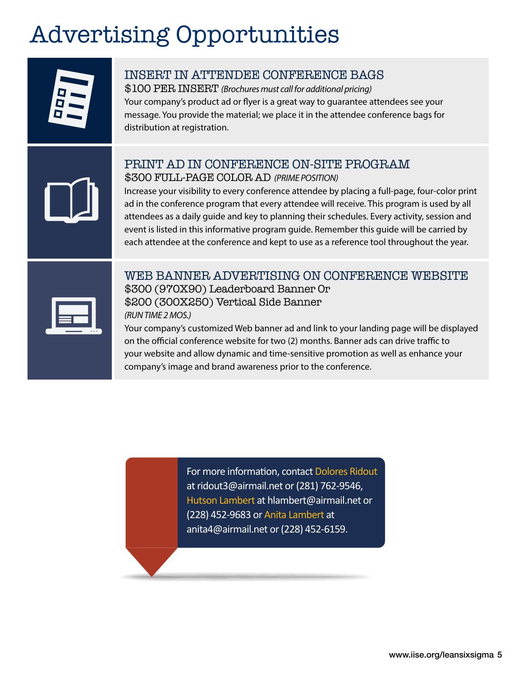## Advertising Opportunities



## INSERT IN ATTENDEE CONFERENCE BAGS

\$100 PER INSERT *(Brochures must call for additional pricing)* Your company's product ad or flyer is a great way to guarantee attendees see your message. You provide the material; we place it in the attendee conference bags for distribution at registration.

## PRINT AD IN CONFERENCE ON-SITE PROGRAM \$300 FULL-PAGE COLOR AD *(PRIME POSITION)*

Increase your visibility to every conference attendee by placing a full-page, four-color print ad in the conference program that every attendee will receive. This program is used by all attendees as a daily guide and key to planning their schedules. Every activity, session and event is listed in this informative program guide. Remember this guide will be carried by each attendee at the conference and kept to use as a reference tool throughout the year.

| ٠<br>$\bullet$ $\bullet$ |  |
|--------------------------|--|

## WEB BANNER ADVERTISING ON CONFERENCE WEBSITE \$300 (970X90) Leaderboard Banner Or \$200 (300X250) Vertical Side Banner *(RUN TIME 2 MOS.)*

Your company's customized Web banner ad and link to your landing page will be displayed on the official conference website for two (2) months. Banner ads can drive traffic to your website and allow dynamic and time-sensitive promotion as well as enhance your company's image and brand awareness prior to the conference.

> For more information, contact Dolores Ridout at ridout3@airmail.net or (281) 762-9546, Hutson Lambert at hlambert@airmail.net or (228) 452-9683 or Anita Lambert at anita4@airmail.net or (228) 452-6159.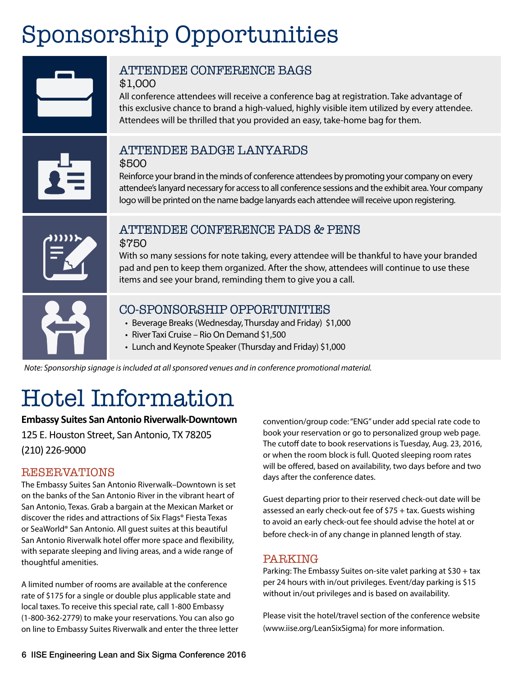## Sponsorship Opportunities



*Note: Sponsorship signage is included at all sponsored venues and in conference promotional material.*

## Hotel Information

### **Embassy Suites San Antonio Riverwalk-Downtown**

125 E. Houston Street, San Antonio, TX 78205 (210) 226-9000

## RESERVATIONS

The Embassy Suites San Antonio Riverwalk–Downtown is set on the banks of the San Antonio River in the vibrant heart of San Antonio, Texas. Grab a bargain at the Mexican Market or discover the rides and attractions of Six Flags® Fiesta Texas or SeaWorld® San Antonio. All guest suites at this beautiful San Antonio Riverwalk hotel offer more space and flexibility, with separate sleeping and living areas, and a wide range of thoughtful amenities.

A limited number of rooms are available at the conference rate of \$175 for a single or double plus applicable state and local taxes. To receive this special rate, call 1-800 Embassy (1-800-362-2779) to make your reservations. You can also go on line to Embassy Suites Riverwalk and enter the three letter convention/group code: "ENG" under add special rate code to book your reservation or go to personalized group web page. The cutoff date to book reservations is Tuesday, Aug. 23, 2016, or when the room block is full. Quoted sleeping room rates will be offered, based on availability, two days before and two days after the conference dates.

Guest departing prior to their reserved check-out date will be assessed an early check-out fee of \$75 + tax. Guests wishing to avoid an early check-out fee should advise the hotel at or before check-in of any change in planned length of stay.

## PARKING

Parking: The Embassy Suites on-site valet parking at \$30 + tax per 24 hours with in/out privileges. Event/day parking is \$15 without in/out privileges and is based on availability.

Please visit the hotel/travel section of the conference website (www.iise.org/LeanSixSigma) for more information.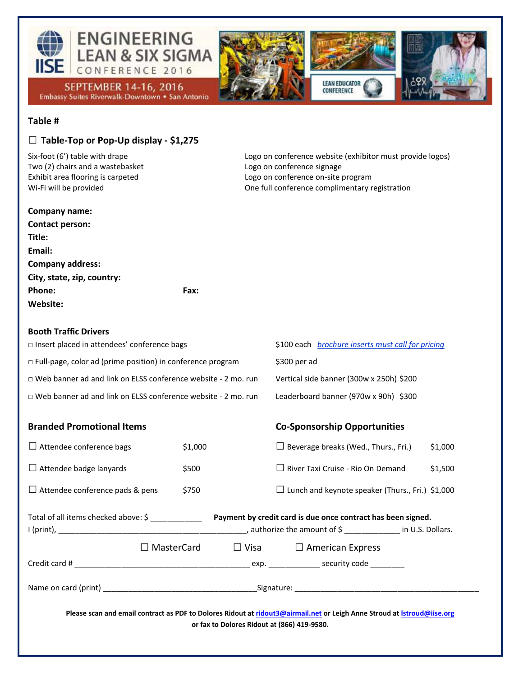

#### **Table #**

#### **□ Table-Top or Pop-Up display - \$1,275**

Two (2) chairs and a wastebasket Logo on conference signage

Six-foot (6') table with drape Logo on conference website (exhibitor must provide logos) Exhibit area flooring is carpeted Logo on conference on-site program Wi-Fi will be provided and only a controll conference complimentary registration

| Company name:              |      |
|----------------------------|------|
| <b>Contact person:</b>     |      |
| Title:                     |      |
| Email:                     |      |
| <b>Company address:</b>    |      |
| City, state, zip, country: |      |
| Phone:                     | Fax: |
| Website:                   |      |

#### **Booth Traffic Drivers**

IISE Engineering Lean and Six Sigma Conference 2016 www.iise.org/leansixsigma 7016 www.iise.org/leansitizma 70<br>International Conference 2016 www.iise.org/leansitizma 7016 www.iise.org/leansitizma 7016 www.iise.org/leansit

| □ Insert placed in attendees' conference bags                        | \$100 each <i>brochure inserts must call for pricing</i> |
|----------------------------------------------------------------------|----------------------------------------------------------|
| $\Box$ Full-page, color ad (prime position) in conference program    | \$300 per ad                                             |
| $\Box$ Web banner ad and link on ELSS conference website - 2 mo. run | Vertical side banner (300w x 250h) \$200                 |
| $\Box$ Web banner ad and link on ELSS conference website - 2 mo. run | Leaderboard banner (970w x 90h) \$300                    |

| <b>Branded Promotional Items</b>                                                                                                                                              |         |                                                         | <b>Co-Sponsorship Opportunities</b>                          |         |
|-------------------------------------------------------------------------------------------------------------------------------------------------------------------------------|---------|---------------------------------------------------------|--------------------------------------------------------------|---------|
| $\Box$ Attendee conference bags                                                                                                                                               | \$1,000 |                                                         | $\Box$ Beverage breaks (Wed., Thurs., Fri.)                  | \$1,000 |
| $\Box$ Attendee badge lanyards                                                                                                                                                | \$500   |                                                         | $\Box$ River Taxi Cruise - Rio On Demand                     | \$1,500 |
| $\Box$ Attendee conference pads & pens                                                                                                                                        | \$750   | $\Box$ Lunch and keynote speaker (Thurs., Fri.) \$1,000 |                                                              |         |
| Total of all items checked above: \$ ____________                                                                                                                             |         |                                                         | Payment by credit card is due once contract has been signed. |         |
| MasterCard<br>$\perp$                                                                                                                                                         |         |                                                         | $\Box$ Visa $\Box$ American Express                          |         |
|                                                                                                                                                                               |         |                                                         |                                                              |         |
|                                                                                                                                                                               |         |                                                         |                                                              |         |
| Please scan and email contract as PDF to Dolores Ridout at ridout3@airmail.net or Leigh Anne Stroud at <i>Istroud@iise.org</i><br>or fax to Dolores Ridout at (866) 419-9580. |         |                                                         |                                                              |         |